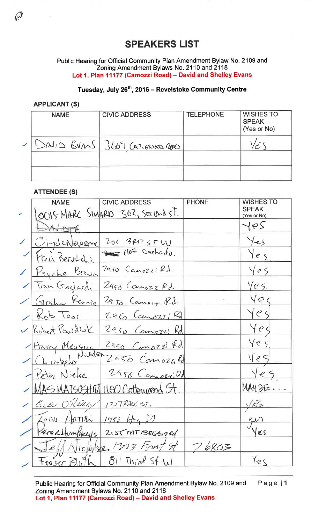## **SPEAKERS LIST**

Public Hearing for Official Community Plan Amendment Bylaw No. 2109 and Zoning Amendment Bylaws No. 2110 and 2118 Lot 1, Plan 11177 (Camozzi Road) - David and Shelley Evans

## Tuesday, July 26<sup>th</sup>, 2016 - Revelstoke Community Centre

## **APPLICANT (S)**

| <b>NAME</b> | <b>CIVIC ADDRESS</b>           | <b>TELEPHONE</b> | <b>WISHES TO</b><br><b>SPEAK</b><br>(Yes or No) |
|-------------|--------------------------------|------------------|-------------------------------------------------|
|             | SAIID EVANS 3669 CALEROSOD CON |                  |                                                 |
|             |                                |                  |                                                 |

## **ATTENDEE (S)**

|                          | <b>NAME</b>            | <b>CIVIC ADDRESS</b>                | <b>PHONE</b> | <b>WISHES TO</b>            |
|--------------------------|------------------------|-------------------------------------|--------------|-----------------------------|
|                          |                        | OCUS MARC SIMARD 302, SECOND ST.    |              | <b>SPEAK</b><br>(Yes or No) |
|                          | DAVIDTE                |                                     |              | 167                         |
| $\overline{\phantom{a}}$ | Olydenewome            | 200 3RP ST W                        |              | Yes                         |
|                          | Freit Bertchi          | $\frac{1}{2}$ (107 Cashado)         |              | $\forall e_{5}$             |
|                          | 1 Psyche Brown         | 2950 Canozif Rd.                    |              | $\sqrt{e5}$                 |
|                          | Tom Glacksodi          | 2450 Camozz Rd.                     |              | Yes.                        |
|                          | Graham Revoie          | 2950 Camozi Rd.                     |              | yed                         |
|                          | $1K_0b\text{ toor}$    | 2950 Canozz; Rd                     |              | $Ye\zeta$                   |
|                          | V Robert Powdsuk       | 2950 Canozzi Rd                     |              | yeo                         |
|                          |                        | Z950 Canozi Rd                      |              | Ye s                        |
|                          |                        | Harry Measure 2950 Canozé Rd        |              | yes                         |
|                          | Peter Nielse           | 2958 Camozi Rd                      |              | Yes                         |
|                          |                        | / MAS MATSOSHITA 1100 Cottonwood St |              | MAUDE.                      |
|                          | BLEN O'RETHLIN         | 175TRACEST.                         |              | 165                         |
|                          | 7000 ARTITU 1456 Am 20 |                                     |              | $\frac{q}{l}$               |
|                          | Perce Humbreys,        | $2155$ MT $BEGB166$                 |              | YES                         |
|                          |                        | icluse 1323 Front St                | 76803        |                             |
|                          | trescr Blu             | $811$ Third Sf W                    |              | Yes                         |

Public Hearing for Official Community Plan Amendment Bylaw No. 2109 and Page  $|1$ Zoning Amendment Bylaws No. 2110 and 2118 Lot 1, Plan 11177 (Camozzi Road) - David and Shelley Evans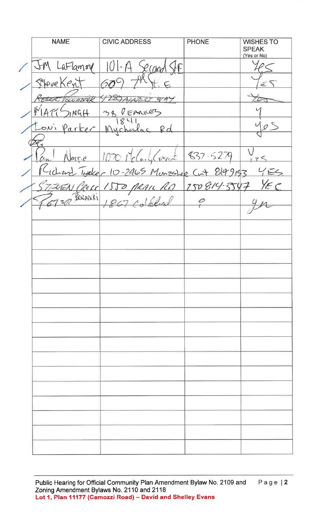**NAME CIVIC ADDRESS PHONE WISHES TO SPEAK** (Yes or No)  $aFlamm$  $\sqrt{6}$ Ω  $2$ (and PHove Ken Toward -28 TALARRY WAY PEANICEZ  $NGF$ 38 8  $\cup$ Rd Much a r  $\hat{J}$  $837.5279$  $9.770$  $R\approx$  $\epsilon$ 8149153  $2465$ Monzephep Crit  $\mathsf{C}$  $l$  $10 \frac{1}{2}$  $\mathcal{F}$  $2508$  $\tilde{<}$ Oc Ls D D 1 0 BORANCH  $\overline{\mathcal{L}}$